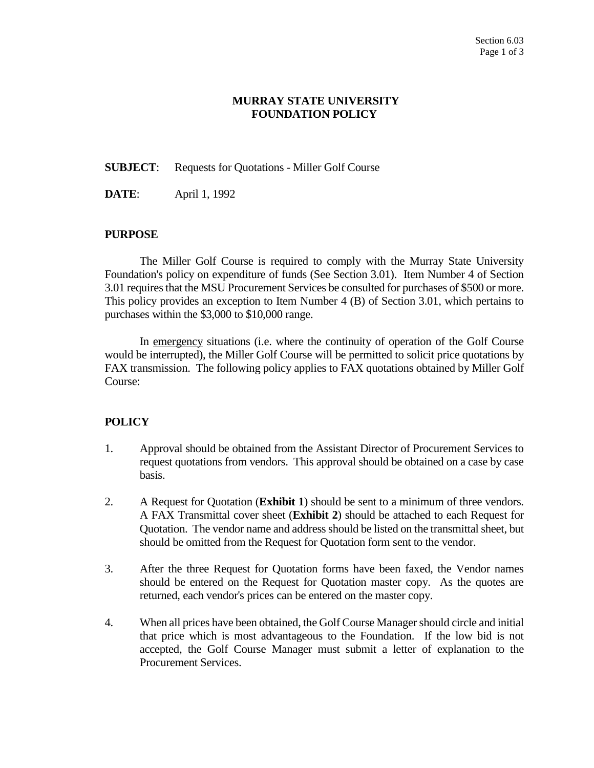## **MURRAY STATE UNIVERSITY FOUNDATION POLICY**

**SUBJECT**: Requests for Quotations - Miller Golf Course

**DATE**: April 1, 1992

## **PURPOSE**

The Miller Golf Course is required to comply with the Murray State University Foundation's policy on expenditure of funds (See Section 3.01). Item Number 4 of Section 3.01 requires that the MSU Procurement Services be consulted for purchases of \$500 or more. This policy provides an exception to Item Number 4 (B) of Section 3.01, which pertains to purchases within the \$3,000 to \$10,000 range.

In emergency situations (i.e. where the continuity of operation of the Golf Course would be interrupted), the Miller Golf Course will be permitted to solicit price quotations by FAX transmission. The following policy applies to FAX quotations obtained by Miller Golf Course:

## **POLICY**

- 1. Approval should be obtained from the Assistant Director of Procurement Services to request quotations from vendors. This approval should be obtained on a case by case basis.
- 2. A Request for Quotation (**Exhibit 1**) should be sent to a minimum of three vendors. A FAX Transmittal cover sheet (**Exhibit 2**) should be attached to each Request for Quotation. The vendor name and address should be listed on the transmittal sheet, but should be omitted from the Request for Quotation form sent to the vendor.
- 3. After the three Request for Quotation forms have been faxed, the Vendor names should be entered on the Request for Quotation master copy. As the quotes are returned, each vendor's prices can be entered on the master copy.
- 4. When all prices have been obtained, the Golf Course Manager should circle and initial that price which is most advantageous to the Foundation. If the low bid is not accepted, the Golf Course Manager must submit a letter of explanation to the Procurement Services.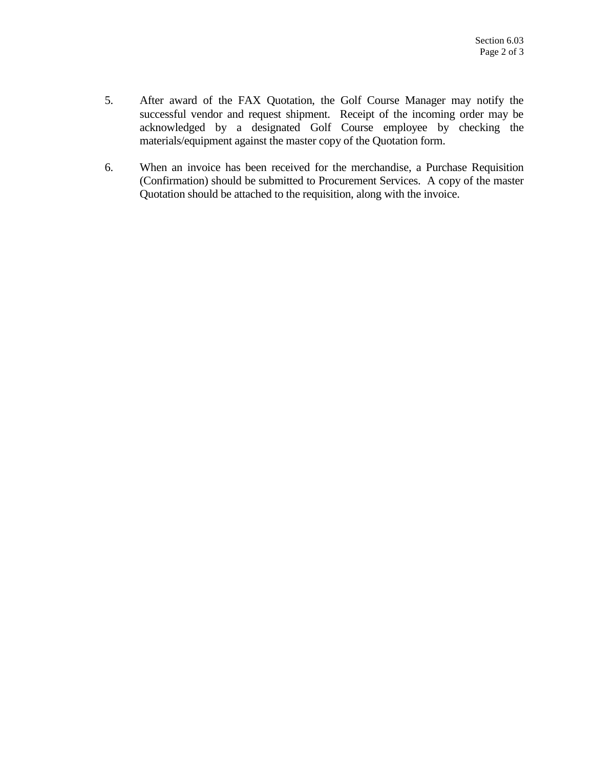- 5. After award of the FAX Quotation, the Golf Course Manager may notify the successful vendor and request shipment. Receipt of the incoming order may be acknowledged by a designated Golf Course employee by checking the materials/equipment against the master copy of the Quotation form.
- 6. When an invoice has been received for the merchandise, a Purchase Requisition (Confirmation) should be submitted to Procurement Services. A copy of the master Quotation should be attached to the requisition, along with the invoice.